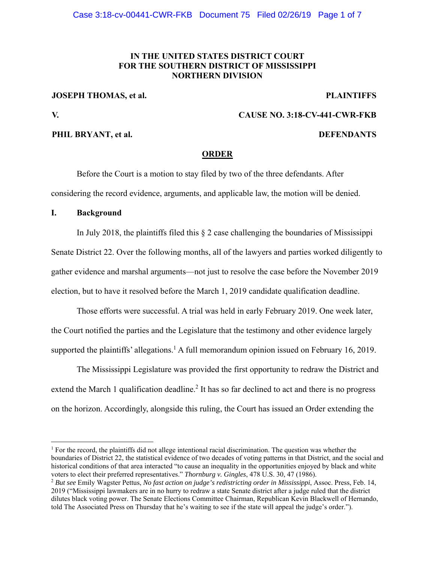# **IN THE UNITED STATES DISTRICT COURT FOR THE SOUTHERN DISTRICT OF MISSISSIPPI NORTHERN DIVISION**

## **JOSEPH THOMAS, et al.** PLAINTIFFS

 $\overline{a}$ 

## **V. CAUSE NO. 3:18-CV-441-CWR-FKB**

## **PHIL BRYANT, et al. DEFENDANTS**

## **ORDER**

Before the Court is a motion to stay filed by two of the three defendants. After considering the record evidence, arguments, and applicable law, the motion will be denied.

#### **I. Background**

In July 2018, the plaintiffs filed this  $\S$  2 case challenging the boundaries of Mississippi Senate District 22. Over the following months, all of the lawyers and parties worked diligently to gather evidence and marshal arguments—not just to resolve the case before the November 2019 election, but to have it resolved before the March 1, 2019 candidate qualification deadline.

Those efforts were successful. A trial was held in early February 2019. One week later, the Court notified the parties and the Legislature that the testimony and other evidence largely supported the plaintiffs' allegations.<sup>1</sup> A full memorandum opinion issued on February 16, 2019.

The Mississippi Legislature was provided the first opportunity to redraw the District and extend the March 1 qualification deadline.<sup>2</sup> It has so far declined to act and there is no progress on the horizon. Accordingly, alongside this ruling, the Court has issued an Order extending the

<sup>&</sup>lt;sup>1</sup> For the record, the plaintiffs did not allege intentional racial discrimination. The question was whether the boundaries of District 22, the statistical evidence of two decades of voting patterns in that District, and the social and historical conditions of that area interacted "to cause an inequality in the opportunities enjoyed by black and white voters to elect their preferred representatives." Thornburg v. Gingles, 478 U.S. 30, 47 (1986).<br><sup>2</sup> But see Emily Wagster Pettus, No fast action on judge's redistricting order in Mississippi, Assoc. Press, Feb. 14,

<sup>2019 (&</sup>quot;Mississippi lawmakers are in no hurry to redraw a state Senate district after a judge ruled that the district dilutes black voting power. The Senate Elections Committee Chairman, Republican Kevin Blackwell of Hernando, told The Associated Press on Thursday that he's waiting to see if the state will appeal the judge's order.").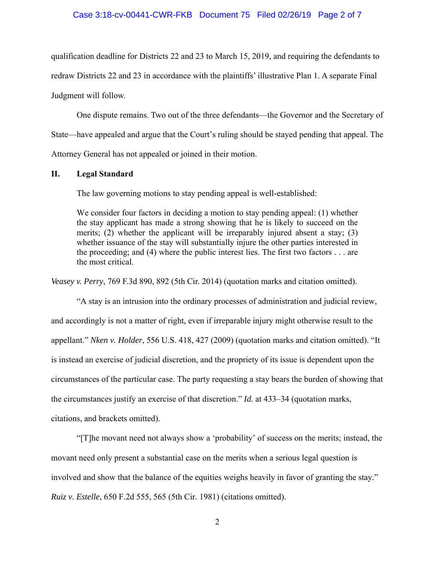#### Case 3:18-cv-00441-CWR-FKB Document 75 Filed 02/26/19 Page 2 of 7

qualification deadline for Districts 22 and 23 to March 15, 2019, and requiring the defendants to

redraw Districts 22 and 23 in accordance with the plaintiffs' illustrative Plan 1. A separate Final

Judgment will follow.

One dispute remains. Two out of the three defendants—the Governor and the Secretary of State—have appealed and argue that the Court's ruling should be stayed pending that appeal. The Attorney General has not appealed or joined in their motion.

## **II. Legal Standard**

The law governing motions to stay pending appeal is well-established:

We consider four factors in deciding a motion to stay pending appeal: (1) whether the stay applicant has made a strong showing that he is likely to succeed on the merits; (2) whether the applicant will be irreparably injured absent a stay; (3) whether issuance of the stay will substantially injure the other parties interested in the proceeding; and (4) where the public interest lies. The first two factors . . . are the most critical.

*Veasey v. Perry*, 769 F.3d 890, 892 (5th Cir. 2014) (quotation marks and citation omitted).

"A stay is an intrusion into the ordinary processes of administration and judicial review, and accordingly is not a matter of right, even if irreparable injury might otherwise result to the appellant." *Nken v. Holder*, 556 U.S. 418, 427 (2009) (quotation marks and citation omitted). "It is instead an exercise of judicial discretion, and the propriety of its issue is dependent upon the circumstances of the particular case. The party requesting a stay bears the burden of showing that the circumstances justify an exercise of that discretion." *Id.* at 433–34 (quotation marks, citations, and brackets omitted).

 "[T]he movant need not always show a 'probability' of success on the merits; instead, the movant need only present a substantial case on the merits when a serious legal question is involved and show that the balance of the equities weighs heavily in favor of granting the stay." *Ruiz v. Estelle*, 650 F.2d 555, 565 (5th Cir. 1981) (citations omitted).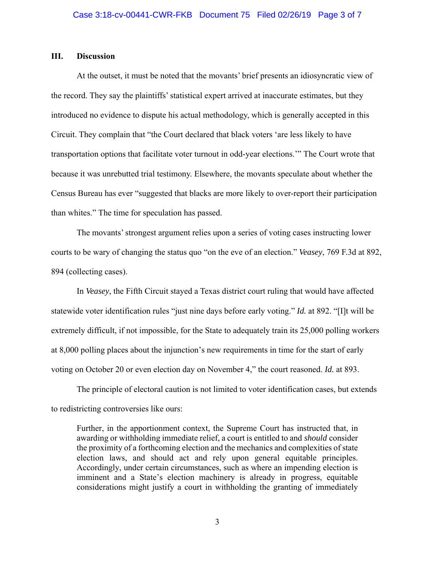### **III. Discussion**

At the outset, it must be noted that the movants' brief presents an idiosyncratic view of the record. They say the plaintiffs' statistical expert arrived at inaccurate estimates, but they introduced no evidence to dispute his actual methodology, which is generally accepted in this Circuit. They complain that "the Court declared that black voters 'are less likely to have transportation options that facilitate voter turnout in odd-year elections.'" The Court wrote that because it was unrebutted trial testimony. Elsewhere, the movants speculate about whether the Census Bureau has ever "suggested that blacks are more likely to over-report their participation than whites." The time for speculation has passed.

The movants' strongest argument relies upon a series of voting cases instructing lower courts to be wary of changing the status quo "on the eve of an election." *Veasey*, 769 F.3d at 892, 894 (collecting cases).

In *Veasey*, the Fifth Circuit stayed a Texas district court ruling that would have affected statewide voter identification rules "just nine days before early voting." *Id.* at 892. "[I]t will be extremely difficult, if not impossible, for the State to adequately train its 25,000 polling workers at 8,000 polling places about the injunction's new requirements in time for the start of early voting on October 20 or even election day on November 4," the court reasoned. *Id.* at 893.

The principle of electoral caution is not limited to voter identification cases, but extends to redistricting controversies like ours:

Further, in the apportionment context, the Supreme Court has instructed that, in awarding or withholding immediate relief, a court is entitled to and *should* consider the proximity of a forthcoming election and the mechanics and complexities of state election laws, and should act and rely upon general equitable principles. Accordingly, under certain circumstances, such as where an impending election is imminent and a State's election machinery is already in progress, equitable considerations might justify a court in withholding the granting of immediately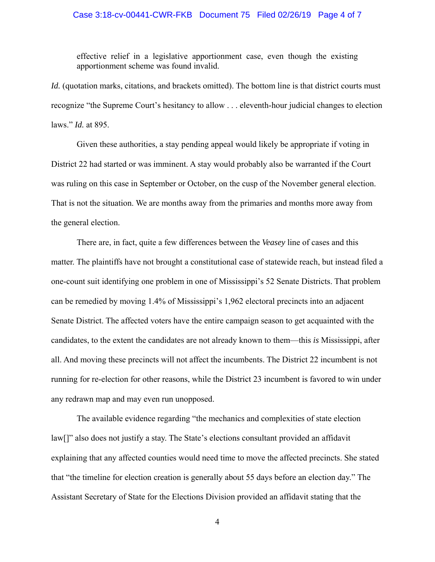### Case 3:18-cv-00441-CWR-FKB Document 75 Filed 02/26/19 Page 4 of 7

effective relief in a legislative apportionment case, even though the existing apportionment scheme was found invalid.

*Id.* (quotation marks, citations, and brackets omitted). The bottom line is that district courts must recognize "the Supreme Court's hesitancy to allow . . . eleventh-hour judicial changes to election laws." *Id.* at 895.

Given these authorities, a stay pending appeal would likely be appropriate if voting in District 22 had started or was imminent. A stay would probably also be warranted if the Court was ruling on this case in September or October, on the cusp of the November general election. That is not the situation. We are months away from the primaries and months more away from the general election.

There are, in fact, quite a few differences between the *Veasey* line of cases and this matter. The plaintiffs have not brought a constitutional case of statewide reach, but instead filed a one-count suit identifying one problem in one of Mississippi's 52 Senate Districts. That problem can be remedied by moving 1.4% of Mississippi's 1,962 electoral precincts into an adjacent Senate District. The affected voters have the entire campaign season to get acquainted with the candidates, to the extent the candidates are not already known to them—this *is* Mississippi, after all. And moving these precincts will not affect the incumbents. The District 22 incumbent is not running for re-election for other reasons, while the District 23 incumbent is favored to win under any redrawn map and may even run unopposed.

The available evidence regarding "the mechanics and complexities of state election law[]" also does not justify a stay. The State's elections consultant provided an affidavit explaining that any affected counties would need time to move the affected precincts. She stated that "the timeline for election creation is generally about 55 days before an election day." The Assistant Secretary of State for the Elections Division provided an affidavit stating that the

4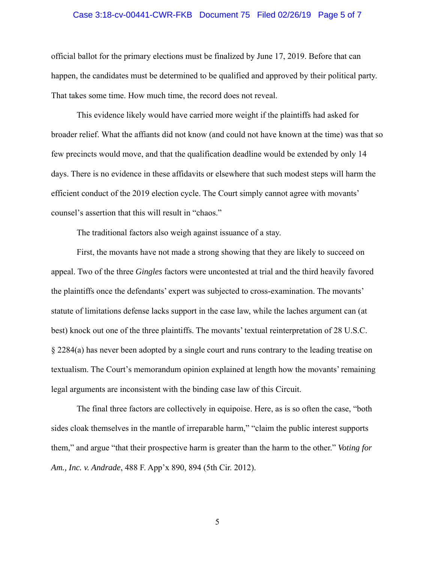# Case 3:18-cv-00441-CWR-FKB Document 75 Filed 02/26/19 Page 5 of 7

official ballot for the primary elections must be finalized by June 17, 2019. Before that can happen, the candidates must be determined to be qualified and approved by their political party. That takes some time. How much time, the record does not reveal.

This evidence likely would have carried more weight if the plaintiffs had asked for broader relief. What the affiants did not know (and could not have known at the time) was that so few precincts would move, and that the qualification deadline would be extended by only 14 days. There is no evidence in these affidavits or elsewhere that such modest steps will harm the efficient conduct of the 2019 election cycle. The Court simply cannot agree with movants' counsel's assertion that this will result in "chaos."

The traditional factors also weigh against issuance of a stay.

First, the movants have not made a strong showing that they are likely to succeed on appeal. Two of the three *Gingles* factors were uncontested at trial and the third heavily favored the plaintiffs once the defendants' expert was subjected to cross-examination. The movants' statute of limitations defense lacks support in the case law, while the laches argument can (at best) knock out one of the three plaintiffs. The movants' textual reinterpretation of 28 U.S.C. § 2284(a) has never been adopted by a single court and runs contrary to the leading treatise on textualism. The Court's memorandum opinion explained at length how the movants' remaining legal arguments are inconsistent with the binding case law of this Circuit.

The final three factors are collectively in equipoise. Here, as is so often the case, "both sides cloak themselves in the mantle of irreparable harm," "claim the public interest supports them," and argue "that their prospective harm is greater than the harm to the other." *Voting for Am., Inc. v. Andrade*, 488 F. App'x 890, 894 (5th Cir. 2012).

5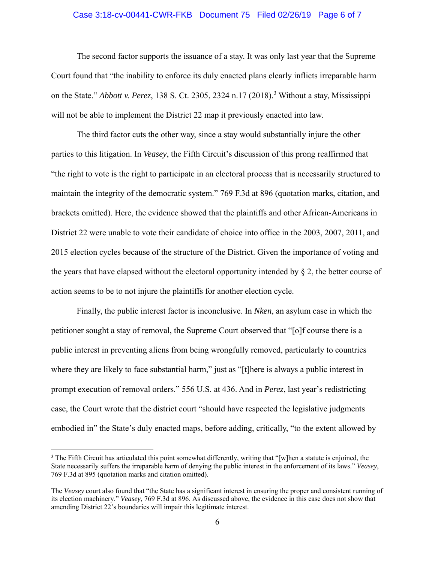#### Case 3:18-cv-00441-CWR-FKB Document 75 Filed 02/26/19 Page 6 of 7

The second factor supports the issuance of a stay. It was only last year that the Supreme Court found that "the inability to enforce its duly enacted plans clearly inflicts irreparable harm on the State." *Abbott v. Perez*, 138 S. Ct. 2305, 2324 n.17 (2018).<sup>3</sup> Without a stay, Mississippi will not be able to implement the District 22 map it previously enacted into law.

The third factor cuts the other way, since a stay would substantially injure the other parties to this litigation. In *Veasey*, the Fifth Circuit's discussion of this prong reaffirmed that "the right to vote is the right to participate in an electoral process that is necessarily structured to maintain the integrity of the democratic system." 769 F.3d at 896 (quotation marks, citation, and brackets omitted). Here, the evidence showed that the plaintiffs and other African-Americans in District 22 were unable to vote their candidate of choice into office in the 2003, 2007, 2011, and 2015 election cycles because of the structure of the District. Given the importance of voting and the years that have elapsed without the electoral opportunity intended by  $\S$  2, the better course of action seems to be to not injure the plaintiffs for another election cycle.

Finally, the public interest factor is inconclusive. In *Nken*, an asylum case in which the petitioner sought a stay of removal, the Supreme Court observed that "[o]f course there is a public interest in preventing aliens from being wrongfully removed, particularly to countries where they are likely to face substantial harm," just as "[t] here is always a public interest in prompt execution of removal orders." 556 U.S. at 436. And in *Perez*, last year's redistricting case, the Court wrote that the district court "should have respected the legislative judgments embodied in" the State's duly enacted maps, before adding, critically, "to the extent allowed by

 $\overline{a}$ 

<sup>&</sup>lt;sup>3</sup> The Fifth Circuit has articulated this point somewhat differently, writing that "[w]hen a statute is enjoined, the State necessarily suffers the irreparable harm of denying the public interest in the enforcement of its laws." *Veasey*, 769 F.3d at 895 (quotation marks and citation omitted).

The *Veasey* court also found that "the State has a significant interest in ensuring the proper and consistent running of its election machinery." *Veasey*, 769 F.3d at 896. As discussed above, the evidence in this case does not show that amending District 22's boundaries will impair this legitimate interest.